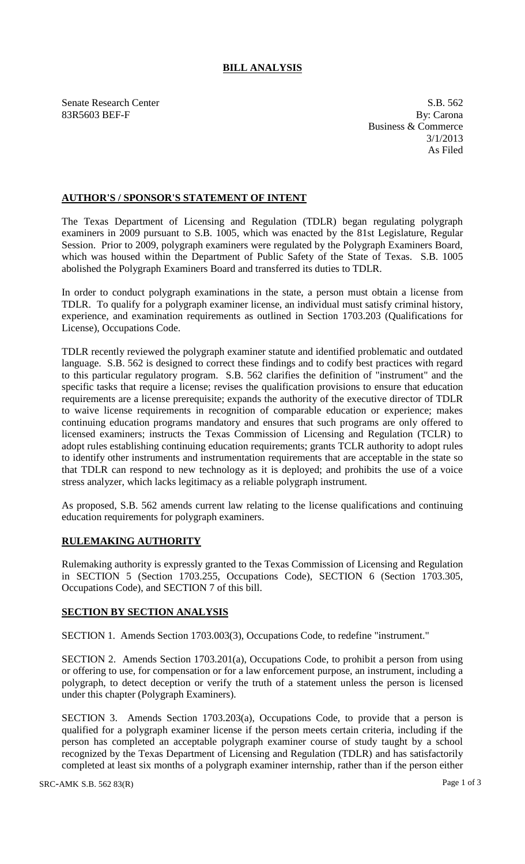## **BILL ANALYSIS**

Senate Research Center S.B. 562 83R5603 BEF-F By: Carona

Business & Commerce 3/1/2013 As Filed

## **AUTHOR'S / SPONSOR'S STATEMENT OF INTENT**

The Texas Department of Licensing and Regulation (TDLR) began regulating polygraph examiners in 2009 pursuant to S.B. 1005, which was enacted by the 81st Legislature, Regular Session. Prior to 2009, polygraph examiners were regulated by the Polygraph Examiners Board, which was housed within the Department of Public Safety of the State of Texas. S.B. 1005 abolished the Polygraph Examiners Board and transferred its duties to TDLR.

In order to conduct polygraph examinations in the state, a person must obtain a license from TDLR. To qualify for a polygraph examiner license, an individual must satisfy criminal history, experience, and examination requirements as outlined in Section 1703.203 (Qualifications for License), Occupations Code.

TDLR recently reviewed the polygraph examiner statute and identified problematic and outdated language. S.B. 562 is designed to correct these findings and to codify best practices with regard to this particular regulatory program. S.B. 562 clarifies the definition of "instrument" and the specific tasks that require a license; revises the qualification provisions to ensure that education requirements are a license prerequisite; expands the authority of the executive director of TDLR to waive license requirements in recognition of comparable education or experience; makes continuing education programs mandatory and ensures that such programs are only offered to licensed examiners; instructs the Texas Commission of Licensing and Regulation (TCLR) to adopt rules establishing continuing education requirements; grants TCLR authority to adopt rules to identify other instruments and instrumentation requirements that are acceptable in the state so that TDLR can respond to new technology as it is deployed; and prohibits the use of a voice stress analyzer, which lacks legitimacy as a reliable polygraph instrument.

As proposed, S.B. 562 amends current law relating to the license qualifications and continuing education requirements for polygraph examiners.

## **RULEMAKING AUTHORITY**

Rulemaking authority is expressly granted to the Texas Commission of Licensing and Regulation in SECTION 5 (Section 1703.255, Occupations Code), SECTION 6 (Section 1703.305, Occupations Code), and SECTION 7 of this bill.

## **SECTION BY SECTION ANALYSIS**

SECTION 1. Amends Section 1703.003(3), Occupations Code, to redefine "instrument."

SECTION 2. Amends Section 1703.201(a), Occupations Code, to prohibit a person from using or offering to use, for compensation or for a law enforcement purpose, an instrument, including a polygraph, to detect deception or verify the truth of a statement unless the person is licensed under this chapter (Polygraph Examiners).

SECTION 3. Amends Section 1703.203(a), Occupations Code, to provide that a person is qualified for a polygraph examiner license if the person meets certain criteria, including if the person has completed an acceptable polygraph examiner course of study taught by a school recognized by the Texas Department of Licensing and Regulation (TDLR) and has satisfactorily completed at least six months of a polygraph examiner internship, rather than if the person either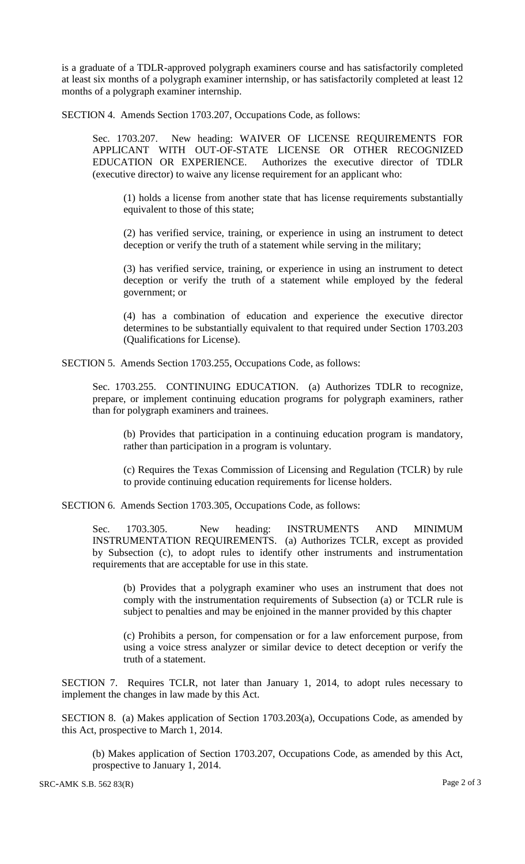is a graduate of a TDLR-approved polygraph examiners course and has satisfactorily completed at least six months of a polygraph examiner internship, or has satisfactorily completed at least 12 months of a polygraph examiner internship.

SECTION 4. Amends Section 1703.207, Occupations Code, as follows:

Sec. 1703.207. New heading: WAIVER OF LICENSE REQUIREMENTS FOR APPLICANT WITH OUT-OF-STATE LICENSE OR OTHER RECOGNIZED EDUCATION OR EXPERIENCE. Authorizes the executive director of TDLR (executive director) to waive any license requirement for an applicant who:

(1) holds a license from another state that has license requirements substantially equivalent to those of this state;

(2) has verified service, training, or experience in using an instrument to detect deception or verify the truth of a statement while serving in the military;

(3) has verified service, training, or experience in using an instrument to detect deception or verify the truth of a statement while employed by the federal government; or

(4) has a combination of education and experience the executive director determines to be substantially equivalent to that required under Section 1703.203 (Qualifications for License).

SECTION 5. Amends Section 1703.255, Occupations Code, as follows:

Sec. 1703.255. CONTINUING EDUCATION. (a) Authorizes TDLR to recognize, prepare, or implement continuing education programs for polygraph examiners, rather than for polygraph examiners and trainees.

(b) Provides that participation in a continuing education program is mandatory, rather than participation in a program is voluntary.

(c) Requires the Texas Commission of Licensing and Regulation (TCLR) by rule to provide continuing education requirements for license holders.

SECTION 6. Amends Section 1703.305, Occupations Code, as follows:

Sec. 1703.305. New heading: INSTRUMENTS AND MINIMUM INSTRUMENTATION REQUIREMENTS. (a) Authorizes TCLR, except as provided by Subsection (c), to adopt rules to identify other instruments and instrumentation requirements that are acceptable for use in this state.

(b) Provides that a polygraph examiner who uses an instrument that does not comply with the instrumentation requirements of Subsection (a) or TCLR rule is subject to penalties and may be enjoined in the manner provided by this chapter

(c) Prohibits a person, for compensation or for a law enforcement purpose, from using a voice stress analyzer or similar device to detect deception or verify the truth of a statement.

SECTION 7. Requires TCLR, not later than January 1, 2014, to adopt rules necessary to implement the changes in law made by this Act.

SECTION 8. (a) Makes application of Section 1703.203(a), Occupations Code, as amended by this Act, prospective to March 1, 2014.

(b) Makes application of Section 1703.207, Occupations Code, as amended by this Act, prospective to January 1, 2014.